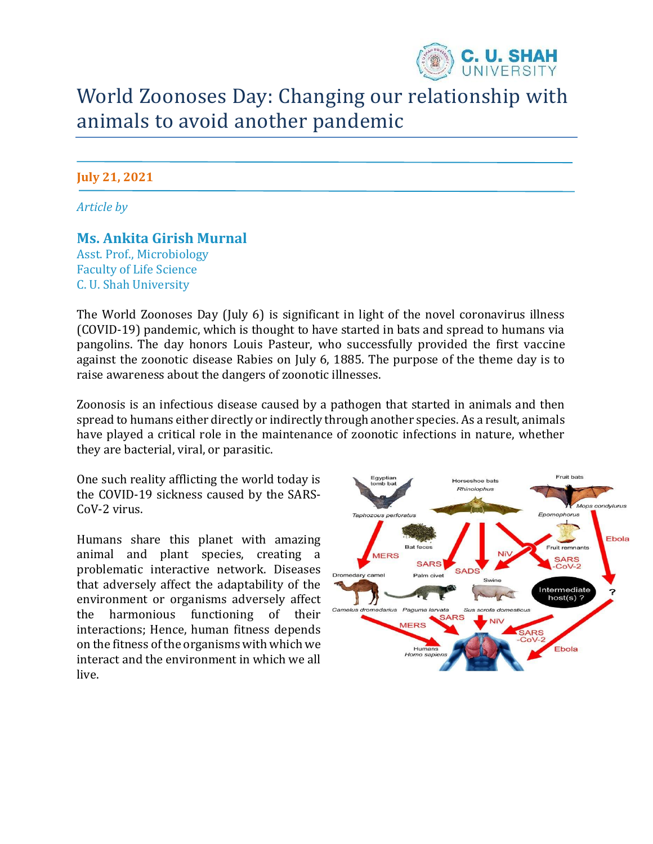

# World Zoonoses Day: Changing our relationship with animals to avoid another pandemic

### **July 21, 2021**

*Article by* 

## **Ms. Ankita Girish Murnal**

Asst. Prof., Microbiology Faculty of Life Science C. U. Shah University

The World Zoonoses Day (July 6) is significant in light of the novel coronavirus illness (COVID-19) pandemic, which is thought to have started in bats and spread to humans via pangolins. The day honors Louis Pasteur, who successfully provided the first vaccine against the zoonotic disease Rabies on July 6, 1885. The purpose of the theme day is to raise awareness about the dangers of zoonotic illnesses.

Zoonosis is an infectious disease caused by a pathogen that started in animals and then spread to humans either directly or indirectly through another species. As a result, animals have played a critical role in the maintenance of zoonotic infections in nature, whether they are bacterial, viral, or parasitic.

One such reality afflicting the world today is the COVID-19 sickness caused by the SARS-CoV-2 virus.

Humans share this planet with amazing animal and plant species, creating a problematic interactive network. Diseases that adversely affect the adaptability of the environment or organisms adversely affect the harmonious functioning of their interactions; Hence, human fitness depends on the fitness of the organisms with which we interact and the environment in which we all live.

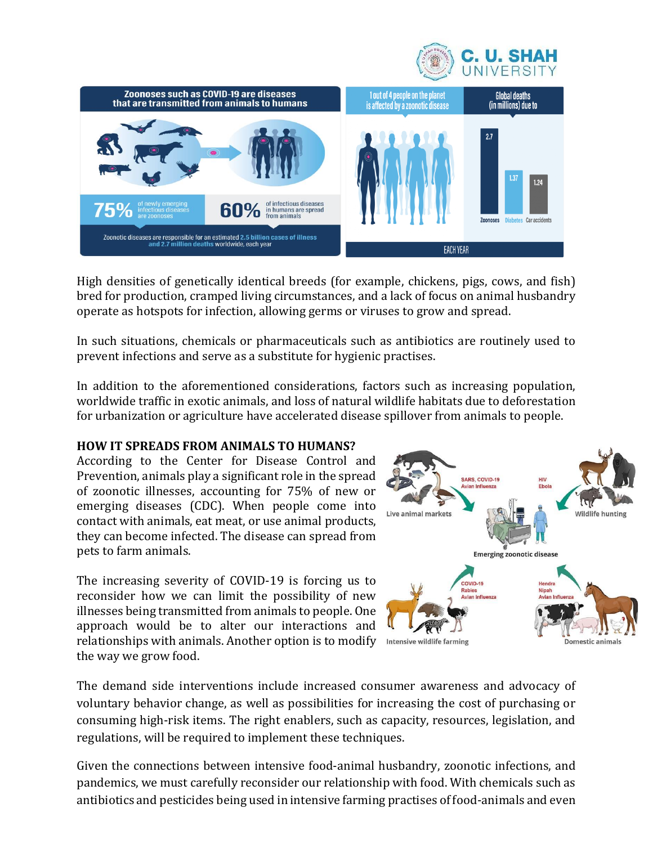



High densities of genetically identical breeds (for example, chickens, pigs, cows, and fish) bred for production, cramped living circumstances, and a lack of focus on animal husbandry operate as hotspots for infection, allowing germs or viruses to grow and spread.

In such situations, chemicals or pharmaceuticals such as antibiotics are routinely used to prevent infections and serve as a substitute for hygienic practises.

In addition to the aforementioned considerations, factors such as increasing population, worldwide traffic in exotic animals, and loss of natural wildlife habitats due to deforestation for urbanization or agriculture have accelerated disease spillover from animals to people.

#### **HOW IT SPREADS FROM ANIMALS TO HUMANS?**

According to the Center for Disease Control and Prevention, animals play a significant role in the spread of zoonotic illnesses, accounting for 75% of new or emerging diseases (CDC). When people come into contact with animals, eat meat, or use animal products, they can become infected. The disease can spread from pets to farm animals.

The increasing severity of COVID-19 is forcing us to reconsider how we can limit the possibility of new illnesses being transmitted from animals to people. One approach would be to alter our interactions and relationships with animals. Another option is to modify Intensive wildlife farming the way we grow food.



The demand side interventions include increased consumer awareness and advocacy of voluntary behavior change, as well as possibilities for increasing the cost of purchasing or consuming high-risk items. The right enablers, such as capacity, resources, legislation, and regulations, will be required to implement these techniques.

Given the connections between intensive food-animal husbandry, zoonotic infections, and pandemics, we must carefully reconsider our relationship with food. With chemicals such as antibiotics and pesticides being used in intensive farming practises of food-animals and even